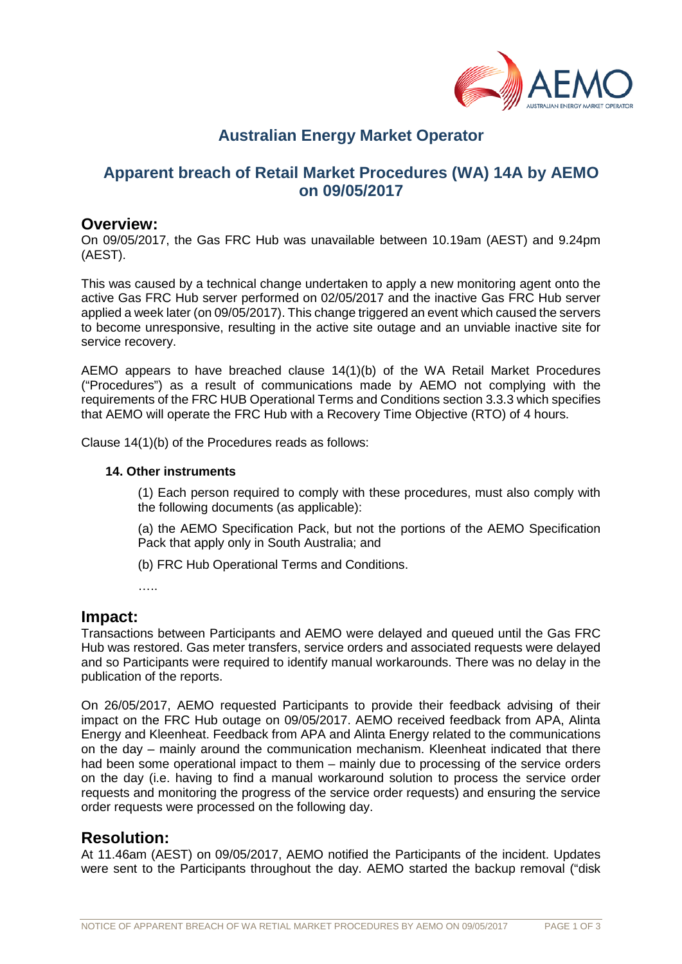

# **Australian Energy Market Operator**

# **Apparent breach of Retail Market Procedures (WA) 14A by AEMO on 09/05/2017**

#### **Overview:**

On 09/05/2017, the Gas FRC Hub was unavailable between 10.19am (AEST) and 9.24pm (AEST).

This was caused by a technical change undertaken to apply a new monitoring agent onto the active Gas FRC Hub server performed on 02/05/2017 and the inactive Gas FRC Hub server applied a week later (on 09/05/2017). This change triggered an event which caused the servers to become unresponsive, resulting in the active site outage and an unviable inactive site for service recovery.

AEMO appears to have breached clause 14(1)(b) of the WA Retail Market Procedures ("Procedures") as a result of communications made by AEMO not complying with the requirements of the FRC HUB Operational Terms and Conditions section 3.3.3 which specifies that AEMO will operate the FRC Hub with a Recovery Time Objective (RTO) of 4 hours.

Clause 14(1)(b) of the Procedures reads as follows:

#### **14. Other instruments**

(1) Each person required to comply with these procedures, must also comply with the following documents (as applicable):

(a) the AEMO Specification Pack, but not the portions of the AEMO Specification Pack that apply only in South Australia; and

(b) FRC Hub Operational Terms and Conditions.

……

## **Impact:**

Transactions between Participants and AEMO were delayed and queued until the Gas FRC Hub was restored. Gas meter transfers, service orders and associated requests were delayed and so Participants were required to identify manual workarounds. There was no delay in the publication of the reports.

On 26/05/2017, AEMO requested Participants to provide their feedback advising of their impact on the FRC Hub outage on 09/05/2017. AEMO received feedback from APA, Alinta Energy and Kleenheat. Feedback from APA and Alinta Energy related to the communications on the day – mainly around the communication mechanism. Kleenheat indicated that there had been some operational impact to them – mainly due to processing of the service orders on the day (i.e. having to find a manual workaround solution to process the service order requests and monitoring the progress of the service order requests) and ensuring the service order requests were processed on the following day.

## **Resolution:**

At 11.46am (AEST) on 09/05/2017, AEMO notified the Participants of the incident. Updates were sent to the Participants throughout the day. AEMO started the backup removal ("disk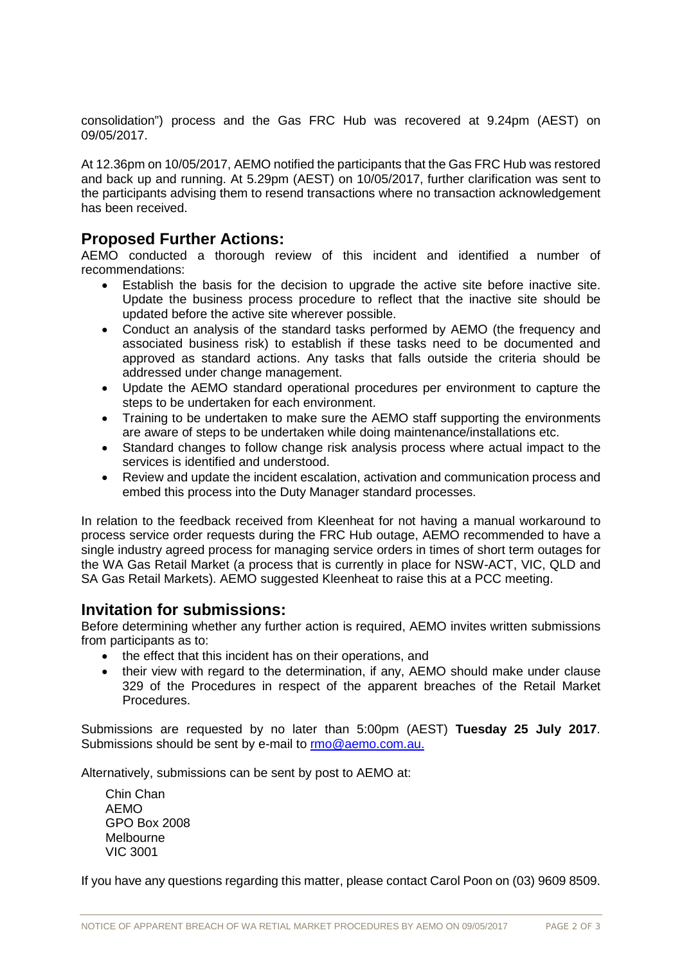consolidation") process and the Gas FRC Hub was recovered at 9.24pm (AEST) on 09/05/2017.

At 12.36pm on 10/05/2017, AEMO notified the participants that the Gas FRC Hub was restored and back up and running. At 5.29pm (AEST) on 10/05/2017, further clarification was sent to the participants advising them to resend transactions where no transaction acknowledgement has been received.

## **Proposed Further Actions:**

AEMO conducted a thorough review of this incident and identified a number of recommendations:

- Establish the basis for the decision to upgrade the active site before inactive site. Update the business process procedure to reflect that the inactive site should be updated before the active site wherever possible.
- Conduct an analysis of the standard tasks performed by AEMO (the frequency and associated business risk) to establish if these tasks need to be documented and approved as standard actions. Any tasks that falls outside the criteria should be addressed under change management.
- Update the AEMO standard operational procedures per environment to capture the steps to be undertaken for each environment.
- Training to be undertaken to make sure the AEMO staff supporting the environments are aware of steps to be undertaken while doing maintenance/installations etc.
- Standard changes to follow change risk analysis process where actual impact to the services is identified and understood.
- Review and update the incident escalation, activation and communication process and embed this process into the Duty Manager standard processes.

In relation to the feedback received from Kleenheat for not having a manual workaround to process service order requests during the FRC Hub outage, AEMO recommended to have a single industry agreed process for managing service orders in times of short term outages for the WA Gas Retail Market (a process that is currently in place for NSW-ACT, VIC, QLD and SA Gas Retail Markets). AEMO suggested Kleenheat to raise this at a PCC meeting.

## **Invitation for submissions:**

Before determining whether any further action is required, AEMO invites written submissions from participants as to:

- the effect that this incident has on their operations, and
- their view with regard to the determination, if any, AEMO should make under clause 329 of the Procedures in respect of the apparent breaches of the Retail Market Procedures.

Submissions are requested by no later than 5:00pm (AEST) **Tuesday 25 July 2017**. Submissions should be sent by e-mail to [rmo@aemo.com.au.](mailto:rmo@aemo.com.au)

Alternatively, submissions can be sent by post to AEMO at:

Chin Chan AEMO GPO Box 2008 Melbourne VIC 3001

If you have any questions regarding this matter, please contact Carol Poon on (03) 9609 8509.